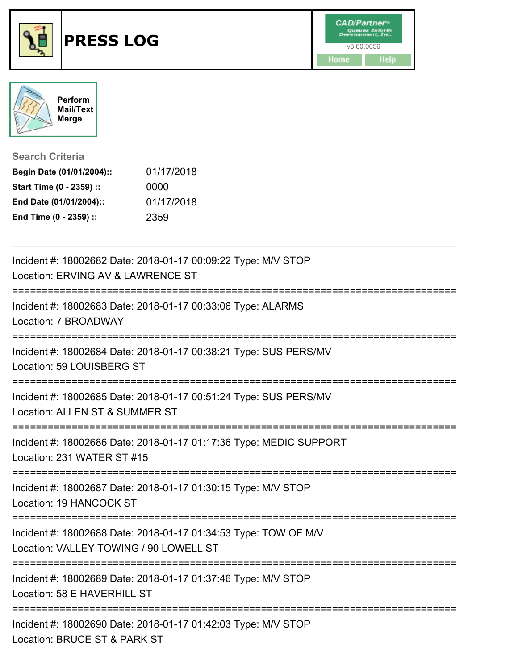



## **Search Criteria**

| Begin Date (01/01/2004):: | 01/17/2018 |
|---------------------------|------------|
| Start Time (0 - 2359) ::  | 0000       |
| End Date (01/01/2004)::   | 01/17/2018 |
| End Time (0 - 2359) ::    | 2359       |

| Incident #: 18002682 Date: 2018-01-17 00:09:22 Type: M/V STOP<br>Location: ERVING AV & LAWRENCE ST                                   |
|--------------------------------------------------------------------------------------------------------------------------------------|
| Incident #: 18002683 Date: 2018-01-17 00:33:06 Type: ALARMS<br>Location: 7 BROADWAY                                                  |
| Incident #: 18002684 Date: 2018-01-17 00:38:21 Type: SUS PERS/MV<br>Location: 59 LOUISBERG ST                                        |
| Incident #: 18002685 Date: 2018-01-17 00:51:24 Type: SUS PERS/MV<br>Location: ALLEN ST & SUMMER ST                                   |
| Incident #: 18002686 Date: 2018-01-17 01:17:36 Type: MEDIC SUPPORT<br>Location: 231 WATER ST #15<br>------------------               |
| Incident #: 18002687 Date: 2018-01-17 01:30:15 Type: M/V STOP<br>Location: 19 HANCOCK ST                                             |
| Incident #: 18002688 Date: 2018-01-17 01:34:53 Type: TOW OF M/V<br>Location: VALLEY TOWING / 90 LOWELL ST                            |
| Incident #: 18002689 Date: 2018-01-17 01:37:46 Type: M/V STOP<br>Location: 58 E HAVERHILL ST                                         |
| -----------------------------------<br>Incident #: 18002690 Date: 2018-01-17 01:42:03 Type: M/V STOP<br>Location: BRUCE ST & PARK ST |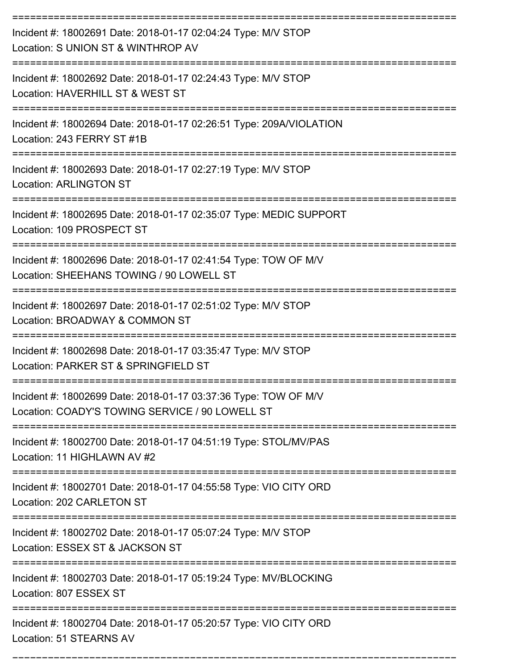| Incident #: 18002691 Date: 2018-01-17 02:04:24 Type: M/V STOP<br>Location: S UNION ST & WINTHROP AV<br>---------------------       |
|------------------------------------------------------------------------------------------------------------------------------------|
| Incident #: 18002692 Date: 2018-01-17 02:24:43 Type: M/V STOP<br>Location: HAVERHILL ST & WEST ST                                  |
| Incident #: 18002694 Date: 2018-01-17 02:26:51 Type: 209A/VIOLATION<br>Location: 243 FERRY ST #1B                                  |
| Incident #: 18002693 Date: 2018-01-17 02:27:19 Type: M/V STOP<br><b>Location: ARLINGTON ST</b>                                     |
| Incident #: 18002695 Date: 2018-01-17 02:35:07 Type: MEDIC SUPPORT<br>Location: 109 PROSPECT ST                                    |
| Incident #: 18002696 Date: 2018-01-17 02:41:54 Type: TOW OF M/V<br>Location: SHEEHANS TOWING / 90 LOWELL ST                        |
| Incident #: 18002697 Date: 2018-01-17 02:51:02 Type: M/V STOP<br>Location: BROADWAY & COMMON ST                                    |
| Incident #: 18002698 Date: 2018-01-17 03:35:47 Type: M/V STOP<br>Location: PARKER ST & SPRINGFIELD ST                              |
| Incident #: 18002699 Date: 2018-01-17 03:37:36 Type: TOW OF M/V<br>Location: COADY'S TOWING SERVICE / 90 LOWELL ST                 |
| ---------------------------<br>Incident #: 18002700 Date: 2018-01-17 04:51:19 Type: STOL/MV/PAS<br>Location: 11 HIGHLAWN AV #2     |
| Incident #: 18002701 Date: 2018-01-17 04:55:58 Type: VIO CITY ORD<br>Location: 202 CARLETON ST                                     |
| ------------------------------<br>Incident #: 18002702 Date: 2018-01-17 05:07:24 Type: M/V STOP<br>Location: ESSEX ST & JACKSON ST |
| Incident #: 18002703 Date: 2018-01-17 05:19:24 Type: MV/BLOCKING<br>Location: 807 ESSEX ST                                         |
| Incident #: 18002704 Date: 2018-01-17 05:20:57 Type: VIO CITY ORD<br>Location: 51 STEARNS AV                                       |

===========================================================================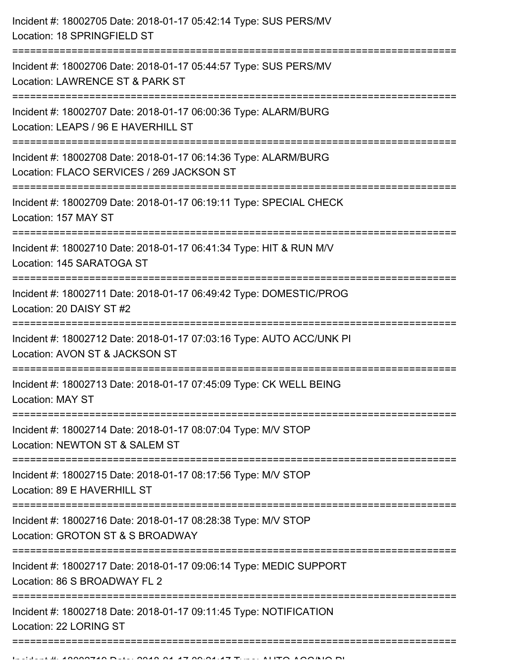| Incident #: 18002705 Date: 2018-01-17 05:42:14 Type: SUS PERS/MV<br>Location: 18 SPRINGFIELD ST                                               |
|-----------------------------------------------------------------------------------------------------------------------------------------------|
| Incident #: 18002706 Date: 2018-01-17 05:44:57 Type: SUS PERS/MV<br>Location: LAWRENCE ST & PARK ST<br>====================================== |
| Incident #: 18002707 Date: 2018-01-17 06:00:36 Type: ALARM/BURG<br>Location: LEAPS / 96 E HAVERHILL ST                                        |
| Incident #: 18002708 Date: 2018-01-17 06:14:36 Type: ALARM/BURG<br>Location: FLACO SERVICES / 269 JACKSON ST                                  |
| Incident #: 18002709 Date: 2018-01-17 06:19:11 Type: SPECIAL CHECK<br>Location: 157 MAY ST                                                    |
| Incident #: 18002710 Date: 2018-01-17 06:41:34 Type: HIT & RUN M/V<br>Location: 145 SARATOGA ST<br>---------------------------------          |
| Incident #: 18002711 Date: 2018-01-17 06:49:42 Type: DOMESTIC/PROG<br>Location: 20 DAISY ST #2                                                |
| Incident #: 18002712 Date: 2018-01-17 07:03:16 Type: AUTO ACC/UNK PI<br>Location: AVON ST & JACKSON ST                                        |
| Incident #: 18002713 Date: 2018-01-17 07:45:09 Type: CK WELL BEING<br><b>Location: MAY ST</b>                                                 |
| Incident #: 18002714 Date: 2018-01-17 08:07:04 Type: M/V STOP<br>Location: NEWTON ST & SALEM ST                                               |
| Incident #: 18002715 Date: 2018-01-17 08:17:56 Type: M/V STOP<br>Location: 89 E HAVERHILL ST                                                  |
| Incident #: 18002716 Date: 2018-01-17 08:28:38 Type: M/V STOP<br>Location: GROTON ST & S BROADWAY                                             |
| Incident #: 18002717 Date: 2018-01-17 09:06:14 Type: MEDIC SUPPORT<br>Location: 86 S BROADWAY FL 2                                            |
| Incident #: 18002718 Date: 2018-01-17 09:11:45 Type: NOTIFICATION<br>Location: 22 LORING ST                                                   |
|                                                                                                                                               |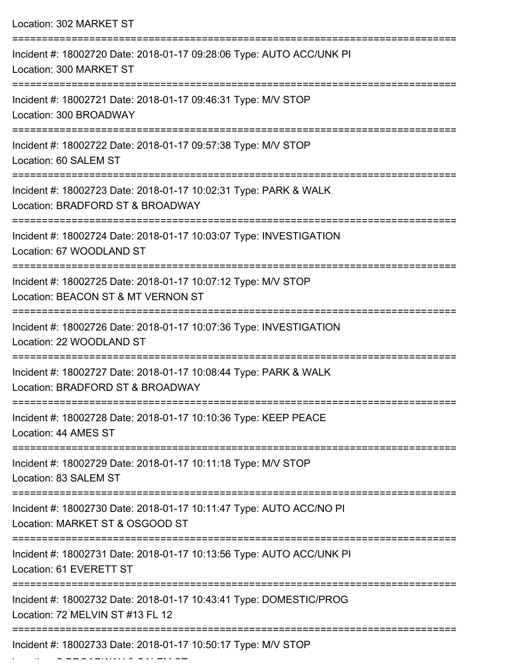| Location: 302 MARKET ST                                                                                                        |
|--------------------------------------------------------------------------------------------------------------------------------|
| Incident #: 18002720 Date: 2018-01-17 09:28:06 Type: AUTO ACC/UNK PI<br>Location: 300 MARKET ST                                |
| Incident #: 18002721 Date: 2018-01-17 09:46:31 Type: M/V STOP<br>Location: 300 BROADWAY                                        |
| Incident #: 18002722 Date: 2018-01-17 09:57:38 Type: M/V STOP<br>Location: 60 SALEM ST                                         |
| Incident #: 18002723 Date: 2018-01-17 10:02:31 Type: PARK & WALK<br>Location: BRADFORD ST & BROADWAY                           |
| Incident #: 18002724 Date: 2018-01-17 10:03:07 Type: INVESTIGATION<br>Location: 67 WOODLAND ST                                 |
| Incident #: 18002725 Date: 2018-01-17 10:07:12 Type: M/V STOP<br>Location: BEACON ST & MT VERNON ST<br>.---------------------- |
| Incident #: 18002726 Date: 2018-01-17 10:07:36 Type: INVESTIGATION<br>Location: 22 WOODLAND ST                                 |
| Incident #: 18002727 Date: 2018-01-17 10:08:44 Type: PARK & WALK<br>Location: BRADFORD ST & BROADWAY                           |
| Incident #: 18002728 Date: 2018-01-17 10:10:36 Type: KEEP PEACE<br>Location: 44 AMES ST                                        |
| Incident #: 18002729 Date: 2018-01-17 10:11:18 Type: M/V STOP<br>Location: 83 SALEM ST                                         |
| Incident #: 18002730 Date: 2018-01-17 10:11:47 Type: AUTO ACC/NO PI<br>Location: MARKET ST & OSGOOD ST                         |
| Incident #: 18002731 Date: 2018-01-17 10:13:56 Type: AUTO ACC/UNK PI<br>Location: 61 EVERETT ST                                |
| Incident #: 18002732 Date: 2018-01-17 10:43:41 Type: DOMESTIC/PROG<br>Location: 72 MELVIN ST #13 FL 12                         |
| Incident #: 18002733 Date: 2018-01-17 10:50:17 Type: M/V STOP                                                                  |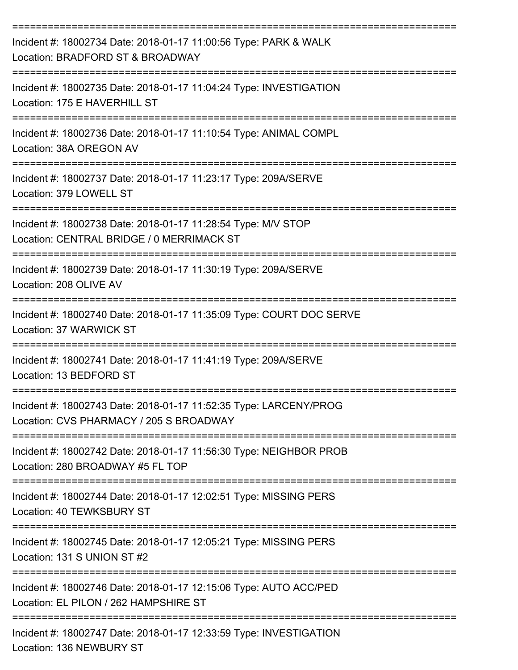| Incident #: 18002734 Date: 2018-01-17 11:00:56 Type: PARK & WALK<br>Location: BRADFORD ST & BROADWAY         |
|--------------------------------------------------------------------------------------------------------------|
| Incident #: 18002735 Date: 2018-01-17 11:04:24 Type: INVESTIGATION<br>Location: 175 E HAVERHILL ST           |
| Incident #: 18002736 Date: 2018-01-17 11:10:54 Type: ANIMAL COMPL<br>Location: 38A OREGON AV                 |
| Incident #: 18002737 Date: 2018-01-17 11:23:17 Type: 209A/SERVE<br>Location: 379 LOWELL ST                   |
| Incident #: 18002738 Date: 2018-01-17 11:28:54 Type: M/V STOP<br>Location: CENTRAL BRIDGE / 0 MERRIMACK ST   |
| Incident #: 18002739 Date: 2018-01-17 11:30:19 Type: 209A/SERVE<br>Location: 208 OLIVE AV                    |
| Incident #: 18002740 Date: 2018-01-17 11:35:09 Type: COURT DOC SERVE<br>Location: 37 WARWICK ST              |
| Incident #: 18002741 Date: 2018-01-17 11:41:19 Type: 209A/SERVE<br>Location: 13 BEDFORD ST                   |
| Incident #: 18002743 Date: 2018-01-17 11:52:35 Type: LARCENY/PROG<br>Location: CVS PHARMACY / 205 S BROADWAY |
| Incident #: 18002742 Date: 2018-01-17 11:56:30 Type: NEIGHBOR PROB<br>Location: 280 BROADWAY #5 FL TOP       |
| Incident #: 18002744 Date: 2018-01-17 12:02:51 Type: MISSING PERS<br>Location: 40 TEWKSBURY ST               |
| Incident #: 18002745 Date: 2018-01-17 12:05:21 Type: MISSING PERS<br>Location: 131 S UNION ST #2             |
| Incident #: 18002746 Date: 2018-01-17 12:15:06 Type: AUTO ACC/PED<br>Location: EL PILON / 262 HAMPSHIRE ST   |
| Incident #: 18002747 Date: 2018-01-17 12:33:59 Type: INVESTIGATION                                           |

Location: 136 NEWBURY ST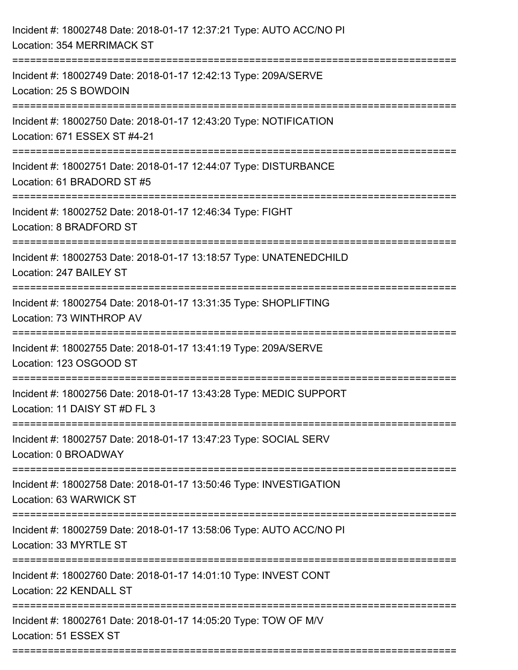| Incident #: 18002748 Date: 2018-01-17 12:37:21 Type: AUTO ACC/NO PI<br>Location: 354 MERRIMACK ST   |
|-----------------------------------------------------------------------------------------------------|
| Incident #: 18002749 Date: 2018-01-17 12:42:13 Type: 209A/SERVE<br>Location: 25 S BOWDOIN           |
| Incident #: 18002750 Date: 2018-01-17 12:43:20 Type: NOTIFICATION<br>Location: 671 ESSEX ST #4-21   |
| Incident #: 18002751 Date: 2018-01-17 12:44:07 Type: DISTURBANCE<br>Location: 61 BRADORD ST #5      |
| Incident #: 18002752 Date: 2018-01-17 12:46:34 Type: FIGHT<br>Location: 8 BRADFORD ST               |
| Incident #: 18002753 Date: 2018-01-17 13:18:57 Type: UNATENEDCHILD<br>Location: 247 BAILEY ST       |
| Incident #: 18002754 Date: 2018-01-17 13:31:35 Type: SHOPLIFTING<br>Location: 73 WINTHROP AV        |
| Incident #: 18002755 Date: 2018-01-17 13:41:19 Type: 209A/SERVE<br>Location: 123 OSGOOD ST          |
| Incident #: 18002756 Date: 2018-01-17 13:43:28 Type: MEDIC SUPPORT<br>Location: 11 DAISY ST #D FL 3 |
| Incident #: 18002757 Date: 2018-01-17 13:47:23 Type: SOCIAL SERV<br>Location: 0 BROADWAY            |
| Incident #: 18002758 Date: 2018-01-17 13:50:46 Type: INVESTIGATION<br>Location: 63 WARWICK ST       |
| Incident #: 18002759 Date: 2018-01-17 13:58:06 Type: AUTO ACC/NO PI<br>Location: 33 MYRTLE ST       |
| Incident #: 18002760 Date: 2018-01-17 14:01:10 Type: INVEST CONT<br>Location: 22 KENDALL ST         |
| Incident #: 18002761 Date: 2018-01-17 14:05:20 Type: TOW OF M/V<br>Location: 51 ESSEX ST            |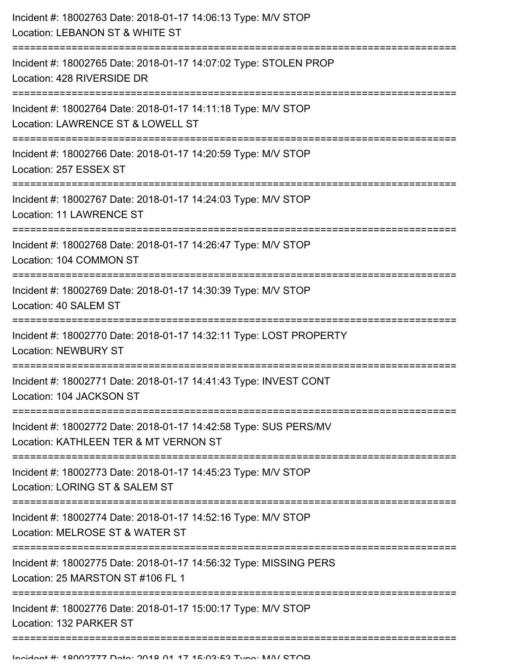| Incident #: 18002763 Date: 2018-01-17 14:06:13 Type: M/V STOP<br>Location: LEBANON ST & WHITE ST                            |
|-----------------------------------------------------------------------------------------------------------------------------|
| Incident #: 18002765 Date: 2018-01-17 14:07:02 Type: STOLEN PROP<br>Location: 428 RIVERSIDE DR                              |
| Incident #: 18002764 Date: 2018-01-17 14:11:18 Type: M/V STOP<br>Location: LAWRENCE ST & LOWELL ST                          |
| Incident #: 18002766 Date: 2018-01-17 14:20:59 Type: M/V STOP<br>Location: 257 ESSEX ST                                     |
| Incident #: 18002767 Date: 2018-01-17 14:24:03 Type: M/V STOP<br><b>Location: 11 LAWRENCE ST</b>                            |
| Incident #: 18002768 Date: 2018-01-17 14:26:47 Type: M/V STOP<br>Location: 104 COMMON ST<br>:============================== |
| Incident #: 18002769 Date: 2018-01-17 14:30:39 Type: M/V STOP<br>Location: 40 SALEM ST                                      |
| Incident #: 18002770 Date: 2018-01-17 14:32:11 Type: LOST PROPERTY<br><b>Location: NEWBURY ST</b>                           |
| Incident #: 18002771 Date: 2018-01-17 14:41:43 Type: INVEST CONT<br>Location: 104 JACKSON ST                                |
| Incident #: 18002772 Date: 2018-01-17 14:42:58 Type: SUS PERS/MV<br>Location: KATHLEEN TER & MT VERNON ST                   |
| Incident #: 18002773 Date: 2018-01-17 14:45:23 Type: M/V STOP<br>Location: LORING ST & SALEM ST                             |
| Incident #: 18002774 Date: 2018-01-17 14:52:16 Type: M/V STOP<br>Location: MELROSE ST & WATER ST                            |
| Incident #: 18002775 Date: 2018-01-17 14:56:32 Type: MISSING PERS<br>Location: 25 MARSTON ST #106 FL 1                      |
| Incident #: 18002776 Date: 2018-01-17 15:00:17 Type: M/V STOP<br>Location: 132 PARKER ST                                    |
|                                                                                                                             |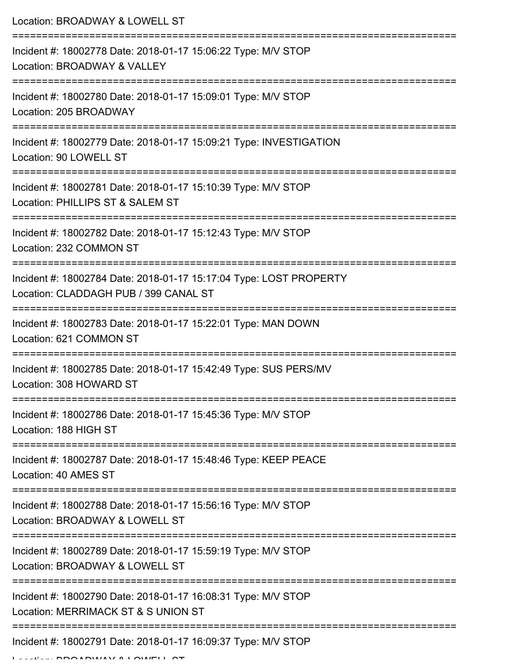Location: BROADWAY & LOWELL ST

| Incident #: 18002778 Date: 2018-01-17 15:06:22 Type: M/V STOP<br>Location: BROADWAY & VALLEY                |
|-------------------------------------------------------------------------------------------------------------|
| Incident #: 18002780 Date: 2018-01-17 15:09:01 Type: M/V STOP<br>Location: 205 BROADWAY                     |
| Incident #: 18002779 Date: 2018-01-17 15:09:21 Type: INVESTIGATION<br>Location: 90 LOWELL ST                |
| Incident #: 18002781 Date: 2018-01-17 15:10:39 Type: M/V STOP<br>Location: PHILLIPS ST & SALEM ST           |
| Incident #: 18002782 Date: 2018-01-17 15:12:43 Type: M/V STOP<br>Location: 232 COMMON ST                    |
| Incident #: 18002784 Date: 2018-01-17 15:17:04 Type: LOST PROPERTY<br>Location: CLADDAGH PUB / 399 CANAL ST |
| Incident #: 18002783 Date: 2018-01-17 15:22:01 Type: MAN DOWN<br>Location: 621 COMMON ST                    |
| Incident #: 18002785 Date: 2018-01-17 15:42:49 Type: SUS PERS/MV<br>Location: 308 HOWARD ST                 |
| Incident #: 18002786 Date: 2018-01-17 15:45:36 Type: M/V STOP<br>Location: 188 HIGH ST                      |
| Incident #: 18002787 Date: 2018-01-17 15:48:46 Type: KEEP PEACE<br>Location: 40 AMES ST                     |
| Incident #: 18002788 Date: 2018-01-17 15:56:16 Type: M/V STOP<br>Location: BROADWAY & LOWELL ST             |
| Incident #: 18002789 Date: 2018-01-17 15:59:19 Type: M/V STOP<br>Location: BROADWAY & LOWELL ST             |
| Incident #: 18002790 Date: 2018-01-17 16:08:31 Type: M/V STOP<br>Location: MERRIMACK ST & S UNION ST        |
| Incident #: 18002791 Date: 2018-01-17 16:09:37 Type: M/V STOP                                               |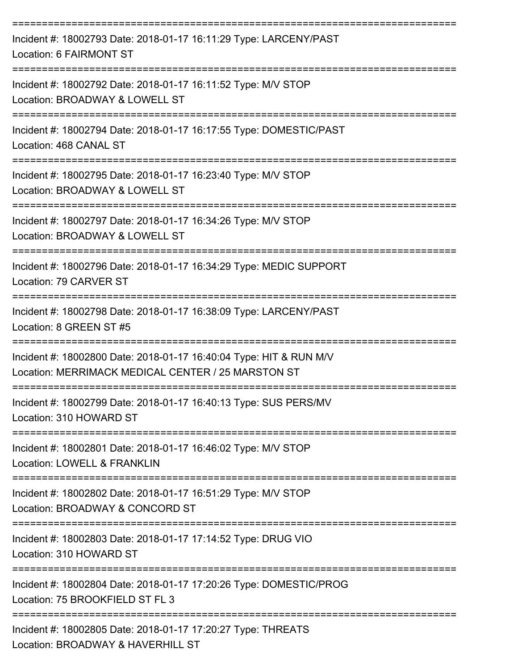| Incident #: 18002793 Date: 2018-01-17 16:11:29 Type: LARCENY/PAST<br>Location: 6 FAIRMONT ST                             |
|--------------------------------------------------------------------------------------------------------------------------|
| Incident #: 18002792 Date: 2018-01-17 16:11:52 Type: M/V STOP<br>Location: BROADWAY & LOWELL ST                          |
| Incident #: 18002794 Date: 2018-01-17 16:17:55 Type: DOMESTIC/PAST<br>Location: 468 CANAL ST                             |
| Incident #: 18002795 Date: 2018-01-17 16:23:40 Type: M/V STOP<br>Location: BROADWAY & LOWELL ST                          |
| Incident #: 18002797 Date: 2018-01-17 16:34:26 Type: M/V STOP<br>Location: BROADWAY & LOWELL ST                          |
| Incident #: 18002796 Date: 2018-01-17 16:34:29 Type: MEDIC SUPPORT<br>Location: 79 CARVER ST                             |
| Incident #: 18002798 Date: 2018-01-17 16:38:09 Type: LARCENY/PAST<br>Location: 8 GREEN ST #5                             |
| Incident #: 18002800 Date: 2018-01-17 16:40:04 Type: HIT & RUN M/V<br>Location: MERRIMACK MEDICAL CENTER / 25 MARSTON ST |
| Incident #: 18002799 Date: 2018-01-17 16:40:13 Type: SUS PERS/MV<br>Location: 310 HOWARD ST                              |
| Incident #: 18002801 Date: 2018-01-17 16:46:02 Type: M/V STOP<br>Location: LOWELL & FRANKLIN                             |
| Incident #: 18002802 Date: 2018-01-17 16:51:29 Type: M/V STOP<br>Location: BROADWAY & CONCORD ST                         |
| Incident #: 18002803 Date: 2018-01-17 17:14:52 Type: DRUG VIO<br>Location: 310 HOWARD ST                                 |
| Incident #: 18002804 Date: 2018-01-17 17:20:26 Type: DOMESTIC/PROG<br>Location: 75 BROOKFIELD ST FL 3                    |
| Incident #: 18002805 Date: 2018-01-17 17:20:27 Type: THREATS<br>Location: BROADWAY & HAVERHILL ST                        |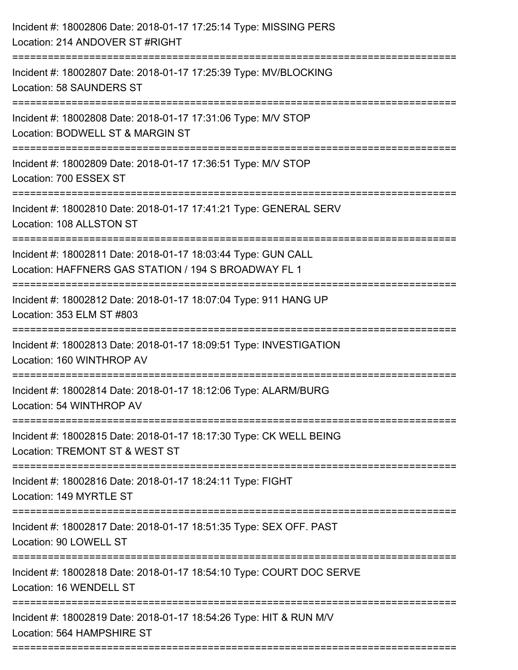| Incident #: 18002806 Date: 2018-01-17 17:25:14 Type: MISSING PERS<br>Location: 214 ANDOVER ST #RIGHT                                                                                   |
|----------------------------------------------------------------------------------------------------------------------------------------------------------------------------------------|
| Incident #: 18002807 Date: 2018-01-17 17:25:39 Type: MV/BLOCKING<br>Location: 58 SAUNDERS ST                                                                                           |
| Incident #: 18002808 Date: 2018-01-17 17:31:06 Type: M/V STOP<br>Location: BODWELL ST & MARGIN ST                                                                                      |
| Incident #: 18002809 Date: 2018-01-17 17:36:51 Type: M/V STOP<br>Location: 700 ESSEX ST                                                                                                |
| Incident #: 18002810 Date: 2018-01-17 17:41:21 Type: GENERAL SERV<br>Location: 108 ALLSTON ST                                                                                          |
| Incident #: 18002811 Date: 2018-01-17 18:03:44 Type: GUN CALL<br>Location: HAFFNERS GAS STATION / 194 S BROADWAY FL 1<br>===============================<br>;========================= |
| Incident #: 18002812 Date: 2018-01-17 18:07:04 Type: 911 HANG UP<br>Location: 353 ELM ST #803                                                                                          |
| Incident #: 18002813 Date: 2018-01-17 18:09:51 Type: INVESTIGATION<br>Location: 160 WINTHROP AV                                                                                        |
| Incident #: 18002814 Date: 2018-01-17 18:12:06 Type: ALARM/BURG<br>Location: 54 WINTHROP AV                                                                                            |
| Incident #: 18002815 Date: 2018-01-17 18:17:30 Type: CK WELL BEING<br>Location: TREMONT ST & WEST ST                                                                                   |
| Incident #: 18002816 Date: 2018-01-17 18:24:11 Type: FIGHT<br>Location: 149 MYRTLE ST                                                                                                  |
| Incident #: 18002817 Date: 2018-01-17 18:51:35 Type: SEX OFF. PAST<br>Location: 90 LOWELL ST                                                                                           |
| Incident #: 18002818 Date: 2018-01-17 18:54:10 Type: COURT DOC SERVE<br>Location: 16 WENDELL ST                                                                                        |
| Incident #: 18002819 Date: 2018-01-17 18:54:26 Type: HIT & RUN M/V<br>Location: 564 HAMPSHIRE ST                                                                                       |
|                                                                                                                                                                                        |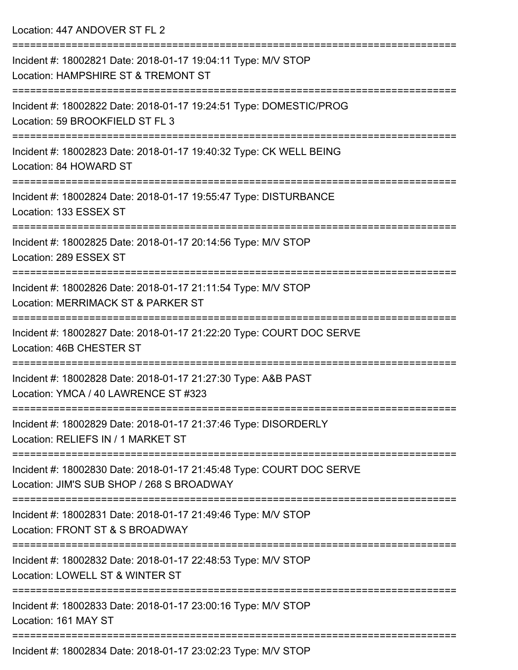Location: 447 ANDOVER ST FL 2

| Incident #: 18002821 Date: 2018-01-17 19:04:11 Type: M/V STOP<br>Location: HAMPSHIRE ST & TREMONT ST              |
|-------------------------------------------------------------------------------------------------------------------|
| Incident #: 18002822 Date: 2018-01-17 19:24:51 Type: DOMESTIC/PROG<br>Location: 59 BROOKFIELD ST FL 3             |
| Incident #: 18002823 Date: 2018-01-17 19:40:32 Type: CK WELL BEING<br>Location: 84 HOWARD ST                      |
| Incident #: 18002824 Date: 2018-01-17 19:55:47 Type: DISTURBANCE<br>Location: 133 ESSEX ST                        |
| Incident #: 18002825 Date: 2018-01-17 20:14:56 Type: M/V STOP<br>Location: 289 ESSEX ST                           |
| Incident #: 18002826 Date: 2018-01-17 21:11:54 Type: M/V STOP<br>Location: MERRIMACK ST & PARKER ST               |
| Incident #: 18002827 Date: 2018-01-17 21:22:20 Type: COURT DOC SERVE<br>Location: 46B CHESTER ST                  |
| Incident #: 18002828 Date: 2018-01-17 21:27:30 Type: A&B PAST<br>Location: YMCA / 40 LAWRENCE ST #323             |
| Incident #: 18002829 Date: 2018-01-17 21:37:46 Type: DISORDERLY<br>Location: RELIEFS IN / 1 MARKET ST             |
| Incident #: 18002830 Date: 2018-01-17 21:45:48 Type: COURT DOC SERVE<br>Location: JIM'S SUB SHOP / 268 S BROADWAY |
| Incident #: 18002831 Date: 2018-01-17 21:49:46 Type: M/V STOP<br>Location: FRONT ST & S BROADWAY                  |
| Incident #: 18002832 Date: 2018-01-17 22:48:53 Type: M/V STOP<br>Location: LOWELL ST & WINTER ST                  |
| Incident #: 18002833 Date: 2018-01-17 23:00:16 Type: M/V STOP<br>Location: 161 MAY ST                             |
| Incident #: 18002834 Date: 2018-01-17 23:02:23 Type: M/V STOP                                                     |